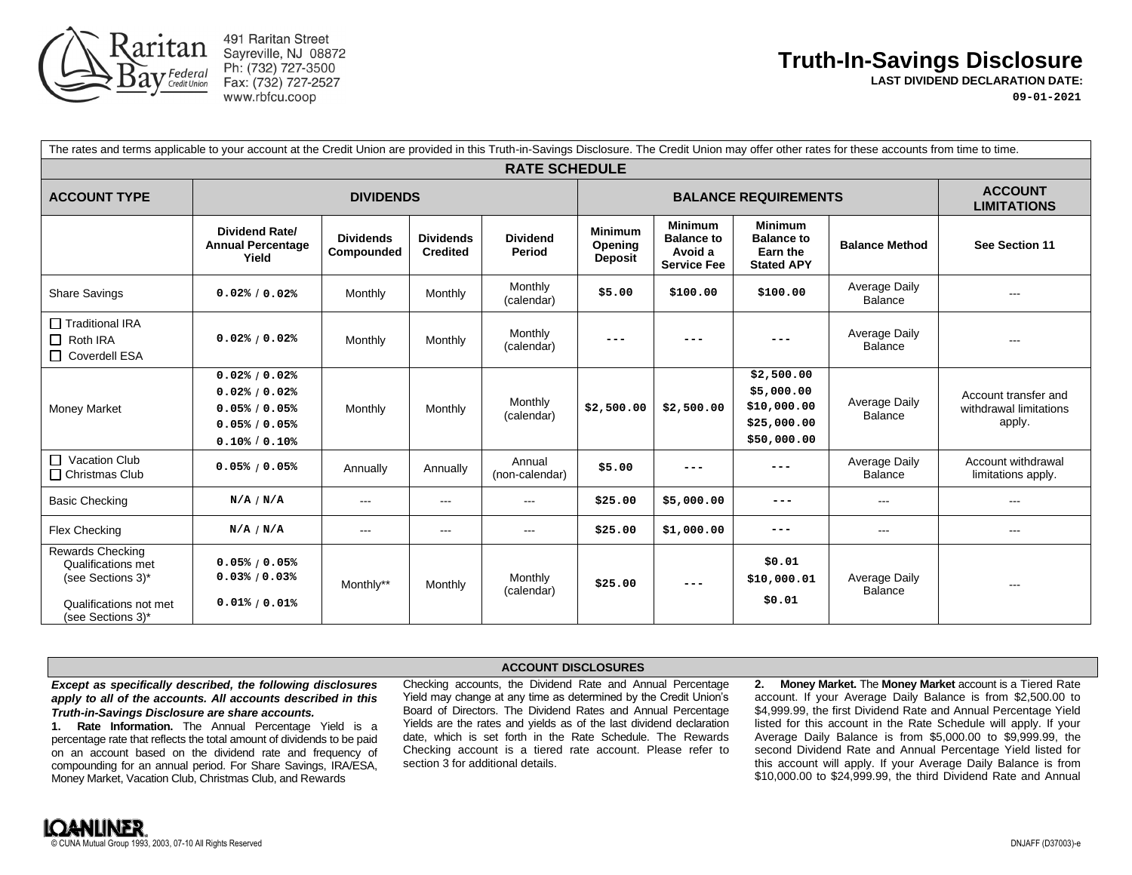

491 Raritan Street Sayreville, NJ 08872 Ph: (732) 727-3500 Fax: (732) 727-2527 www.rbfcu.coop

## **Truth-In-Savings Disclosure**

**LAST DIVIDEND DECLARATION DATE:**

**09-01-2021**

| The rates and terms applicable to your account at the Credit Union are provided in this Truth-in-Savings Disclosure. The Credit Union may offer other rates for these accounts from time to time.<br><b>RATE SCHEDULE</b> |                                                                                               |                                |                                     |                           |                                             |                                                                      |                                                                       |                                 |                                                                                                                                                                                                                                                                                                                                                                                                                                                                            |
|---------------------------------------------------------------------------------------------------------------------------------------------------------------------------------------------------------------------------|-----------------------------------------------------------------------------------------------|--------------------------------|-------------------------------------|---------------------------|---------------------------------------------|----------------------------------------------------------------------|-----------------------------------------------------------------------|---------------------------------|----------------------------------------------------------------------------------------------------------------------------------------------------------------------------------------------------------------------------------------------------------------------------------------------------------------------------------------------------------------------------------------------------------------------------------------------------------------------------|
|                                                                                                                                                                                                                           |                                                                                               |                                |                                     |                           |                                             |                                                                      |                                                                       |                                 |                                                                                                                                                                                                                                                                                                                                                                                                                                                                            |
|                                                                                                                                                                                                                           | <b>Dividend Rate/</b><br><b>Annual Percentage</b><br>Yield                                    | <b>Dividends</b><br>Compounded | <b>Dividends</b><br><b>Credited</b> | <b>Dividend</b><br>Period | <b>Minimum</b><br>Opening<br><b>Deposit</b> | <b>Minimum</b><br><b>Balance to</b><br>Avoid a<br><b>Service Fee</b> | <b>Minimum</b><br><b>Balance to</b><br>Earn the<br><b>Stated APY</b>  | <b>Balance Method</b>           | See Section 11                                                                                                                                                                                                                                                                                                                                                                                                                                                             |
| <b>Share Savings</b>                                                                                                                                                                                                      | 0.02% / 0.02%                                                                                 | Monthly                        | Monthly                             | Monthly<br>(calendar)     | \$5.00                                      | \$100.00                                                             | \$100.00                                                              | Average Daily<br><b>Balance</b> | $\cdots$                                                                                                                                                                                                                                                                                                                                                                                                                                                                   |
| Traditional IRA<br>$\Box$ Roth IRA<br>□ Coverdell ESA                                                                                                                                                                     | 0.02% / 0.02%                                                                                 | Monthly                        | Monthly                             | Monthly<br>(calendar)     | $- - -$                                     |                                                                      |                                                                       | Average Daily<br><b>Balance</b> | ---                                                                                                                                                                                                                                                                                                                                                                                                                                                                        |
| Money Market                                                                                                                                                                                                              | 0.02% / 0.02%<br>0.02% / 0.02%<br>0.05% / 0.05%<br>0.05% / 0.05%<br>$0.10\frac{1}{6}$ / 0.10% | Monthly                        | Monthly                             | Monthly<br>(calendar)     | \$2,500.00                                  | \$2,500.00                                                           | \$2,500.00<br>\$5,000.00<br>\$10,000.00<br>\$25,000.00<br>\$50,000.00 | Average Daily<br><b>Balance</b> | Account transfer and<br>withdrawal limitations<br>apply.                                                                                                                                                                                                                                                                                                                                                                                                                   |
| Vacation Club<br>$\Box$ Christmas Club                                                                                                                                                                                    | 0.05% / 0.05%                                                                                 | Annually                       | Annually                            | Annual<br>(non-calendar)  | \$5.00                                      | ---                                                                  |                                                                       | Average Daily<br><b>Balance</b> | Account withdrawal<br>limitations apply.                                                                                                                                                                                                                                                                                                                                                                                                                                   |
| <b>Basic Checking</b>                                                                                                                                                                                                     | N/A / N/A                                                                                     | $\qquad \qquad \cdots$         | $---$                               | $---$                     | \$25.00                                     | \$5,000.00                                                           | ---                                                                   | $- - -$                         | $\frac{1}{2} \left( \frac{1}{2} \right) \left( \frac{1}{2} \right) \left( \frac{1}{2} \right) \left( \frac{1}{2} \right) \left( \frac{1}{2} \right) \left( \frac{1}{2} \right) \left( \frac{1}{2} \right) \left( \frac{1}{2} \right) \left( \frac{1}{2} \right) \left( \frac{1}{2} \right) \left( \frac{1}{2} \right) \left( \frac{1}{2} \right) \left( \frac{1}{2} \right) \left( \frac{1}{2} \right) \left( \frac{1}{2} \right) \left( \frac{1}{2} \right) \left( \frac$ |
| Flex Checking                                                                                                                                                                                                             | N/A / N/A                                                                                     | $\cdots$                       | $---$                               | $\cdots$                  | \$25.00                                     | \$1,000.00                                                           | $-- -$                                                                | $\cdots$                        | $\cdots$                                                                                                                                                                                                                                                                                                                                                                                                                                                                   |
| <b>Rewards Checking</b><br>Qualifications met<br>(see Sections 3)*<br>Qualifications not met<br>(see Sections 3)*                                                                                                         | 0.05% / 0.05%<br>0.03% / 0.03%<br>$0.01\% / 0.01\%$                                           | Monthly**                      | Monthly                             | Monthly<br>(calendar)     | \$25.00                                     | $- - -$                                                              | \$0.01<br>\$10,000.01<br>\$0.01                                       | Average Daily<br><b>Balance</b> | $---$                                                                                                                                                                                                                                                                                                                                                                                                                                                                      |

## *Except as specifically described, the following disclosures apply to all of the accounts. All accounts described in this Truth-in-Savings Disclosure are share accounts.*

**1. Rate Information.** The Annual Percentage Yield is a percentage rate that reflects the total amount of dividends to be paid on an account based on the dividend rate and frequency of compounding for an annual period. For Share Savings, IRA/ESA, Money Market, Vacation Club, Christmas Club, and Rewards

## **ACCOUNT DISCLOSURES**

Checking accounts, the Dividend Rate and Annual Percentage Yield may change at any time as determined by the Credit Union's Board of Directors. The Dividend Rates and Annual Percentage Yields are the rates and yields as of the last dividend declaration date, which is set forth in the Rate Schedule. The Rewards Checking account is a tiered rate account. Please refer to section 3 for additional details.

**2. Money Market.** The **Money Market** account is a Tiered Rate account. If your Average Daily Balance is from \$2,500.00 to \$4,999.99, the first Dividend Rate and Annual Percentage Yield listed for this account in the Rate Schedule will apply. If your Average Daily Balance is from \$5,000.00 to \$9,999.99, the second Dividend Rate and Annual Percentage Yield listed for this account will apply. If your Average Daily Balance is from \$10,000.00 to \$24,999.99, the third Dividend Rate and Annual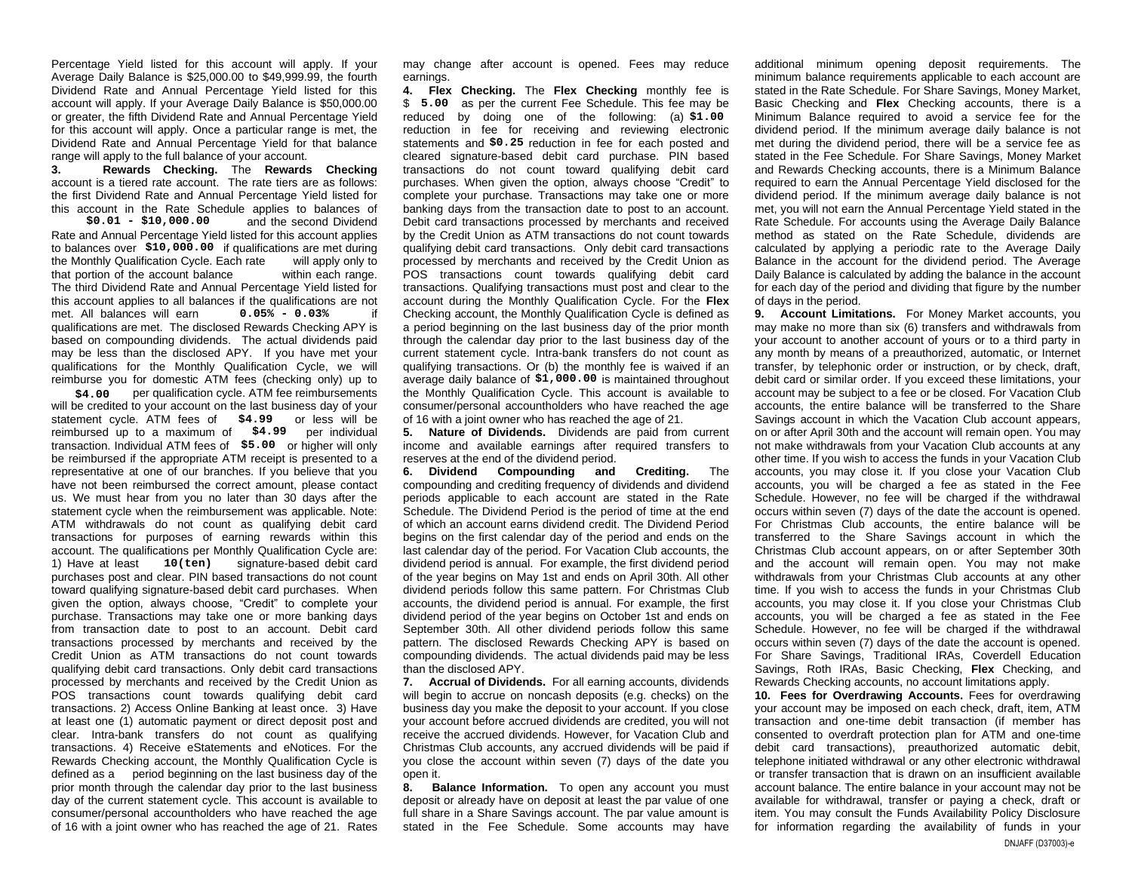Percentage Yield listed for this account will apply. If your Average Daily Balance is \$25,000.00 to \$49,999.99, the fourth Dividend Rate and Annual Percentage Yield listed for this account will apply. If your Average Daily Balance is \$50,000.00 or greater, the fifth Dividend Rate and Annual Percentage Yield for this account will apply. Once a particular range is met, the Dividend Rate and Annual Percentage Yield for that balance range will apply to the full balance of your account.

**3. Rewards Checking.** The **Rewards Checking** account is a tiered rate account. The rate tiers are as follows: the first Dividend Rate and Annual Percentage Yield listed for this account in the Rate Schedule applies to balances of

and the second Dividend Rate and Annual Percentage Yield listed for this account applies to balances over \$10,000.00 if qualifications are met during the Monthly Qualification Cycle. Each rate will apply only to that portion of the account balance within each range. The third Dividend Rate and Annual Percentage Yield listed for this account applies to all balances if the qualifications are not met. All balances will earn qualifications are met. The disclosed Rewards Checking APY is based on compounding dividends. The actual dividends paid may be less than the disclosed APY. If you have met your qualifications for the Monthly Qualification Cycle, we will reimburse you for domestic ATM fees (checking only) up to **\$0.01 - \$10,000.00 0.05% - 0.03%**

\$4.00 per qualification cycle. ATM fee reimbursements will be credited to your account on the last business day of your statement cycle. ATM fees of \$4.99 or less will be reimbursed up to a maximum of  $$4.99$  per individual transaction. Individual ATM fees of  $$5.00$  or higher will only be reimbursed if the appropriate ATM receipt is presented to a representative at one of our branches. If you believe that you have not been reimbursed the correct amount, please contact us. We must hear from you no later than 30 days after the statement cycle when the reimbursement was applicable. Note: ATM withdrawals do not count as qualifying debit card transactions for purposes of earning rewards within this account. The qualifications per Monthly Qualification Cycle are: 1) Have at least 10(ten) signature-based debit card purchases post and clear. PIN based transactions do not count toward qualifying signature-based debit card purchases. When given the option, always choose, "Credit" to complete your purchase. Transactions may take one or more banking days from transaction date to post to an account. Debit card transactions processed by merchants and received by the Credit Union as ATM transactions do not count towards qualifying debit card transactions. Only debit card transactions processed by merchants and received by the Credit Union as POS transactions count towards qualifying debit card transactions. 2) Access Online Banking at least once. 3) Have at least one (1) automatic payment or direct deposit post and clear. Intra-bank transfers do not count as qualifying transactions. 4) Receive eStatements and eNotices. For the Rewards Checking account, the Monthly Qualification Cycle is defined as a period beginning on the last business day of the prior month through the calendar day prior to the last business day of the current statement cycle. This account is available to consumer/personal accountholders who have reached the age of 16 with a joint owner who has reached the age of 21. Rates

may change after account is opened. Fees may reduce earnings.

**4. Flex Checking.** The **Flex Checking** monthly fee is \$ 5.00 as per the current Fee Schedule. This fee may be reduced by doing one of the following: (a) \$1.00 reduction in fee for receiving and reviewing electronic statements and  $$0.25$  reduction in fee for each posted and cleared signature-based debit card purchase. PIN based transactions do not count toward qualifying debit card purchases. When given the option, always choose "Credit" to complete your purchase. Transactions may take one or more banking days from the transaction date to post to an account. Debit card transactions processed by merchants and received by the Credit Union as ATM transactions do not count towards qualifying debit card transactions. Only debit card transactions processed by merchants and received by the Credit Union as POS transactions count towards qualifying debit card transactions. Qualifying transactions must post and clear to the account during the Monthly Qualification Cycle. For the **Flex** Checking account, the Monthly Qualification Cycle is defined as a period beginning on the last business day of the prior month through the calendar day prior to the last business day of the current statement cycle. Intra-bank transfers do not count as qualifying transactions. Or (b) the monthly fee is waived if an average daily balance of  $$1,000.00$  is maintained throughout the Monthly Qualification Cycle. This account is available to consumer/personal accountholders who have reached the age of 16 with a joint owner who has reached the age of 21. unturalling the Higherita Scouts of the Real of the General High Mindler and the Control of the Control of the Bay and the Control of the Bay and the Control of the Bay and the Control of the Bay and the Control of the Bay

**5. Nature of Dividends.** Dividends are paid from current income and available earnings after required transfers to reserves at the end of the dividend period.

**6. Dividend Compounding and Crediting.** The compounding and crediting frequency of dividends and dividend periods applicable to each account are stated in the Rate Schedule. The Dividend Period is the period of time at the end of which an account earns dividend credit. The Dividend Period begins on the first calendar day of the period and ends on the last calendar day of the period. For Vacation Club accounts, the dividend period is annual. For example, the first dividend period of the year begins on May 1st and ends on April 30th. All other dividend periods follow this same pattern. For Christmas Club accounts, the dividend period is annual. For example, the first dividend period of the year begins on October 1st and ends on September 30th. All other dividend periods follow this same pattern. The disclosed Rewards Checking APY is based on compounding dividends. The actual dividends paid may be less than the disclosed APY.

**7. Accrual of Dividends.** For all earning accounts, dividends will begin to accrue on noncash deposits (e.g. checks) on the business day you make the deposit to your account. If you close your account before accrued dividends are credited, you will not receive the accrued dividends. However, for Vacation Club and Christmas Club accounts, any accrued dividends will be paid if you close the account within seven (7) days of the date you open it.

**8. Balance Information.** To open any account you must deposit or already have on deposit at least the par value of one full share in a Share Savings account. The par value amount is stated in the Fee Schedule. Some accounts may have additional minimum opening deposit requirements. The minimum balance requirements applicable to each account are stated in the Rate Schedule. For Share Savings, Money Market, Basic Checking and **Flex** Checking accounts, there is a Minimum Balance required to avoid a service fee for the dividend period. If the minimum average daily balance is not met during the dividend period, there will be a service fee as stated in the Fee Schedule. For Share Savings, Money Market and Rewards Checking accounts, there is a Minimum Balance required to earn the Annual Percentage Yield disclosed for the dividend period. If the minimum average daily balance is not met, you will not earn the Annual Percentage Yield stated in the Rate Schedule. For accounts using the Average Daily Balance method as stated on the Rate Schedule, dividends are calculated by applying a periodic rate to the Average Daily Balance in the account for the dividend period. The Average Daily Balance is calculated by adding the balance in the account for each day of the period and dividing that figure by the number of days in the period.

**9. Account Limitations.** For Money Market accounts, you may make no more than six (6) transfers and withdrawals from your account to another account of yours or to a third party in any month by means of a preauthorized, automatic, or Internet transfer, by telephonic order or instruction, or by check, draft, debit card or similar order. If you exceed these limitations, your account may be subject to a fee or be closed. For Vacation Club accounts, the entire balance will be transferred to the Share Savings account in which the Vacation Club account appears, on or after April 30th and the account will remain open. You may not make withdrawals from your Vacation Club accounts at any other time. If you wish to access the funds in your Vacation Club accounts, you may close it. If you close your Vacation Club accounts, you will be charged a fee as stated in the Fee Schedule. However, no fee will be charged if the withdrawal occurs within seven (7) days of the date the account is opened. For Christmas Club accounts, the entire balance will be transferred to the Share Savings account in which the Christmas Club account appears, on or after September 30th and the account will remain open. You may not make withdrawals from your Christmas Club accounts at any other time. If you wish to access the funds in your Christmas Club accounts, you may close it. If you close your Christmas Club accounts, you will be charged a fee as stated in the Fee Schedule. However, no fee will be charged if the withdrawal occurs within seven (7) days of the date the account is opened. For Share Savings, Traditional IRAs, Coverdell Education Savings, Roth IRAs, Basic Checking, **Flex** Checking, and Rewards Checking accounts, no account limitations apply.

**10. Fees for Overdrawing Accounts.** Fees for overdrawing your account may be imposed on each check, draft, item, ATM transaction and one-time debit transaction (if member has consented to overdraft protection plan for ATM and one-time debit card transactions), preauthorized automatic debit, telephone initiated withdrawal or any other electronic withdrawal or transfer transaction that is drawn on an insufficient available account balance. The entire balance in your account may not be available for withdrawal, transfer or paying a check, draft or item. You may consult the Funds Availability Policy Disclosure for information regarding the availability of funds in your